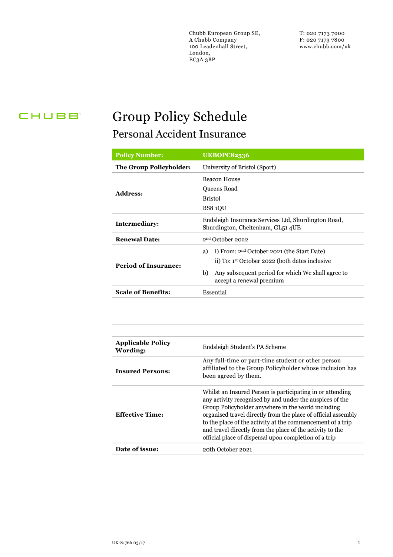Chubb European Group SE, A Chubb Company 100 Leadenhall Street, London, EC3A 3BP

T: 020 7173 7000 F: 020 7173 7800 www.chubb.com/uk

## CHUBB<sup>®</sup>

## **Group Policy Schedule** Personal Accident Insurance

| <b>Policy Number:</b>          | <b>UKBOPC82536</b>                                                                                                                                                                                                |  |  |
|--------------------------------|-------------------------------------------------------------------------------------------------------------------------------------------------------------------------------------------------------------------|--|--|
| <b>The Group Policyholder:</b> | University of Bristol (Sport)                                                                                                                                                                                     |  |  |
| <b>Address:</b>                | Beacon House<br>Queens Road<br><b>Bristol</b><br><b>BS8 10U</b>                                                                                                                                                   |  |  |
| Intermediary:                  | Endsleigh Insurance Services Ltd, Shurdington Road,<br>Shurdington, Cheltenham, GL51 4UE                                                                                                                          |  |  |
| <b>Renewal Date:</b>           | 2 <sup>nd</sup> October 2022                                                                                                                                                                                      |  |  |
| <b>Period of Insurance:</b>    | i) From: 2 <sup>nd</sup> October 2021 (the Start Date)<br>a)<br>ii) To: 1 <sup>st</sup> October 2022 (both dates inclusive<br>Any subsequent period for which We shall agree to<br>b)<br>accept a renewal premium |  |  |
| <b>Scale of Benefits:</b>      | Essential                                                                                                                                                                                                         |  |  |

| <b>Applicable Policy</b><br>Wording: | Endsleigh Student's PA Scheme                                                                                                                                                                                                                                                                                                                                                                                                    |
|--------------------------------------|----------------------------------------------------------------------------------------------------------------------------------------------------------------------------------------------------------------------------------------------------------------------------------------------------------------------------------------------------------------------------------------------------------------------------------|
| <b>Insured Persons:</b>              | Any full-time or part-time student or other person<br>affiliated to the Group Policyholder whose inclusion has<br>been agreed by them.                                                                                                                                                                                                                                                                                           |
| <b>Effective Time:</b>               | Whilst an Insured Person is participating in or attending<br>any activity recognised by and under the auspices of the<br>Group Policyholder anywhere in the world including<br>organised travel directly from the place of official assembly<br>to the place of the activity at the commencement of a trip<br>and travel directly from the place of the activity to the<br>official place of dispersal upon completion of a trip |
| Date of issue:                       | 20th October 2021                                                                                                                                                                                                                                                                                                                                                                                                                |